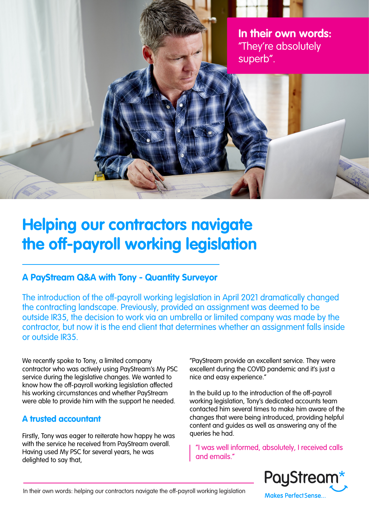**In their own words:** "They're absolutely superb".

# **Helping our contractors navigate the off-payroll working legislation**

## **A PayStream Q&A with Tony - Quantity Surveyor**

The introduction of the off-payroll working legislation in April 2021 dramatically changed the contracting landscape. Previously, provided an assignment was deemed to be outside IR35, the decision to work via an umbrella or limited company was made by the contractor, but now it is the end client that determines whether an assignment falls inside or outside IR35.

We recently spoke to Tony, a limited company contractor who was actively using PayStream's My PSC service during the legislative changes. We wanted to know how the off-payroll working legislation affected his working circumstances and whether PayStream were able to provide him with the support he needed.

## **A trusted accountant**

Firstly, Tony was eager to reiterate how happy he was with the service he received from PayStream overall. Having used My PSC for several years, he was delighted to say that,

"PayStream provide an excellent service. They were excellent during the COVID pandemic and it's just a nice and easy experience."

In the build up to the introduction of the off-payroll working legislation, Tony's dedicated accounts team contacted him several times to make him aware of the changes that were being introduced, providing helpful content and guides as well as answering any of the queries he had.

"I was well informed, absolutely, I received calls and emails."